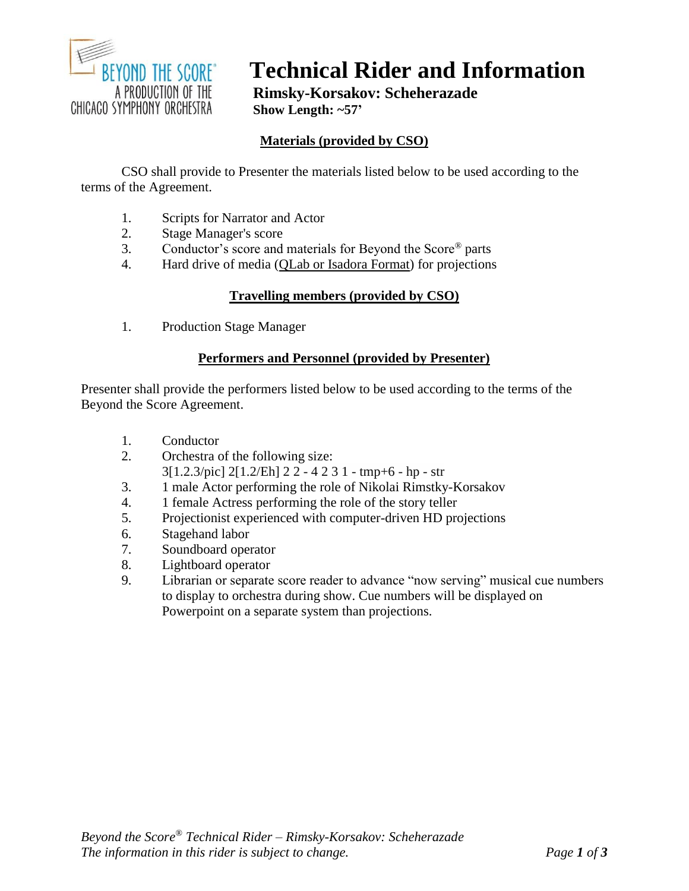

# **Technical Rider and Information**

**Rimsky-Korsakov: Scheherazade Show Length: ~57'**

# **Materials (provided by CSO)**

CSO shall provide to Presenter the materials listed below to be used according to the terms of the Agreement.

- 1. Scripts for Narrator and Actor
- 2. Stage Manager's score
- 3. Conductor's score and materials for Beyond the Score® parts
- 4. Hard drive of media (QLab or Isadora Format) for projections

## **Travelling members (provided by CSO)**

1. Production Stage Manager

#### **Performers and Personnel (provided by Presenter)**

Presenter shall provide the performers listed below to be used according to the terms of the Beyond the Score Agreement.

- 1. Conductor
- 2. Orchestra of the following size: 3[1.2.3/pic] 2[1.2/Eh] 2 2 - 4 2 3 1 - tmp+6 - hp - str
- 3. 1 male Actor performing the role of Nikolai Rimstky-Korsakov
- 4. 1 female Actress performing the role of the story teller
- 5. Projectionist experienced with computer-driven HD projections
- 6. Stagehand labor
- 7. Soundboard operator
- 8. Lightboard operator
- 9. Librarian or separate score reader to advance "now serving" musical cue numbers to display to orchestra during show. Cue numbers will be displayed on Powerpoint on a separate system than projections.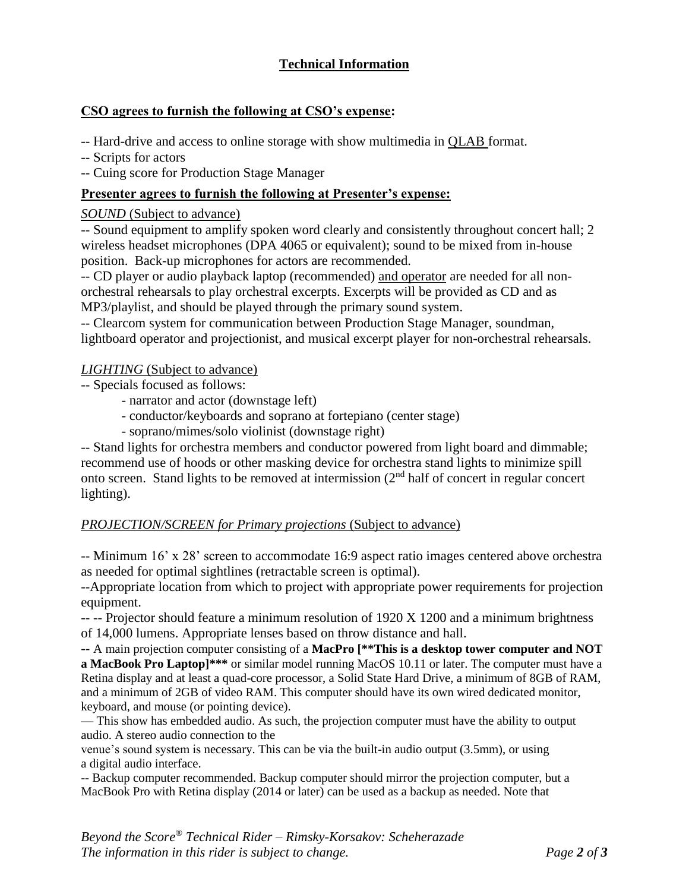# **Technical Information**

## **CSO agrees to furnish the following at CSO's expense:**

-- Hard-drive and access to online storage with show multimedia in QLAB format.

-- Scripts for actors

-- Cuing score for Production Stage Manager

## **Presenter agrees to furnish the following at Presenter's expense:**

#### *SOUND* (Subject to advance)

-- Sound equipment to amplify spoken word clearly and consistently throughout concert hall; 2 wireless headset microphones (DPA 4065 or equivalent); sound to be mixed from in-house position. Back-up microphones for actors are recommended.

-- CD player or audio playback laptop (recommended) and operator are needed for all nonorchestral rehearsals to play orchestral excerpts. Excerpts will be provided as CD and as MP3/playlist, and should be played through the primary sound system.

-- Clearcom system for communication between Production Stage Manager, soundman, lightboard operator and projectionist, and musical excerpt player for non-orchestral rehearsals.

#### *LIGHTING* (Subject to advance)

- -- Specials focused as follows:
	- narrator and actor (downstage left)
	- conductor/keyboards and soprano at fortepiano (center stage)
	- soprano/mimes/solo violinist (downstage right)

-- Stand lights for orchestra members and conductor powered from light board and dimmable; recommend use of hoods or other masking device for orchestra stand lights to minimize spill onto screen. Stand lights to be removed at intermission (2nd half of concert in regular concert lighting).

## *PROJECTION/SCREEN for Primary projections* (Subject to advance)

-- Minimum 16' x 28' screen to accommodate 16:9 aspect ratio images centered above orchestra as needed for optimal sightlines (retractable screen is optimal).

--Appropriate location from which to project with appropriate power requirements for projection equipment.

-- -- Projector should feature a minimum resolution of 1920 X 1200 and a minimum brightness of 14,000 lumens. Appropriate lenses based on throw distance and hall.

-- A main projection computer consisting of a **MacPro [\*\*This is a desktop tower computer and NOT a MacBook Pro Laptop]\*\*\*** or similar model running MacOS 10.11 or later. The computer must have a Retina display and at least a quad-core processor, a Solid State Hard Drive, a minimum of 8GB of RAM, and a minimum of 2GB of video RAM. This computer should have its own wired dedicated monitor, keyboard, and mouse (or pointing device).

— This show has embedded audio. As such, the projection computer must have the ability to output audio. A stereo audio connection to the

venue's sound system is necessary. This can be via the built-in audio output (3.5mm), or using a digital audio interface.

-- Backup computer recommended. Backup computer should mirror the projection computer, but a MacBook Pro with Retina display (2014 or later) can be used as a backup as needed. Note that

*Beyond the Score® Technical Rider – Rimsky-Korsakov: Scheherazade The information in this rider is subject to change. Page 2 of 3*